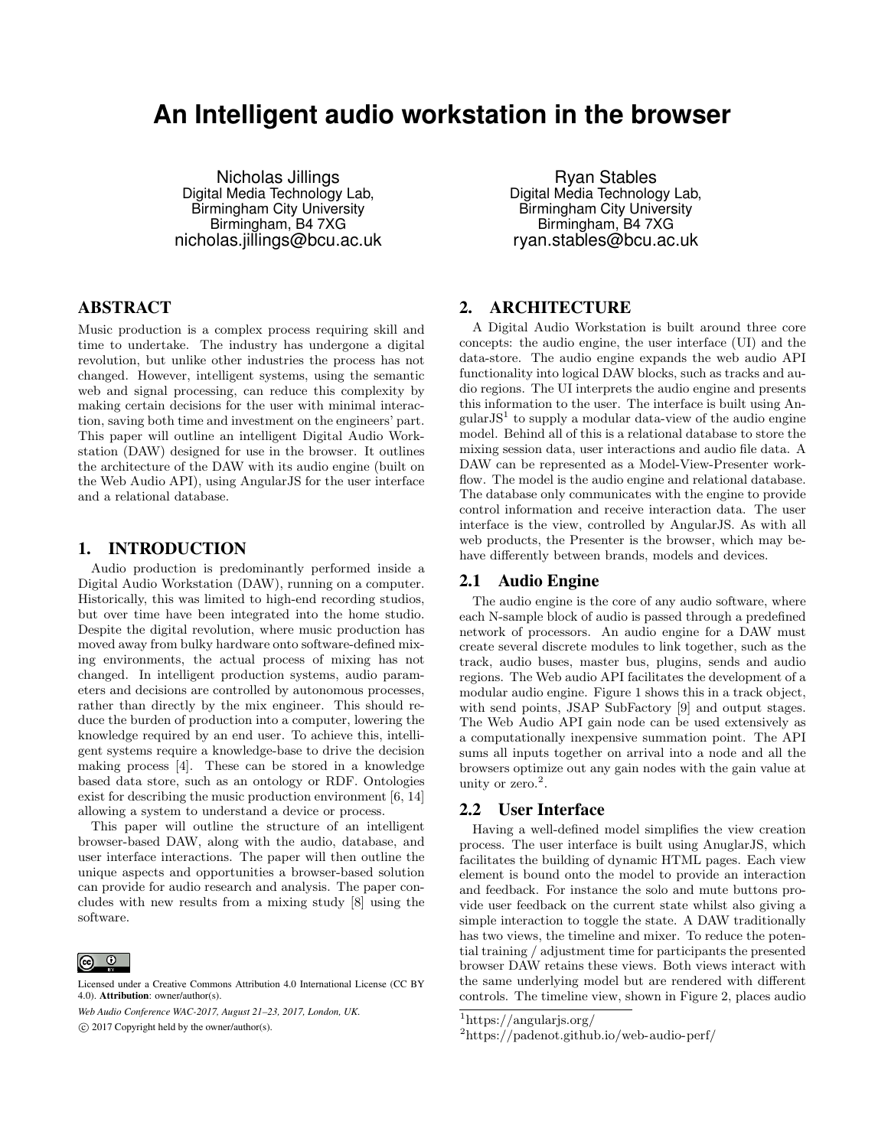# **An Intelligent audio workstation in the browser**

Nicholas Jillings Digital Media Technology Lab, Birmingham City University Birmingham, B4 7XG nicholas.jillings@bcu.ac.uk

# ABSTRACT

Music production is a complex process requiring skill and time to undertake. The industry has undergone a digital revolution, but unlike other industries the process has not changed. However, intelligent systems, using the semantic web and signal processing, can reduce this complexity by making certain decisions for the user with minimal interaction, saving both time and investment on the engineers' part. This paper will outline an intelligent Digital Audio Workstation (DAW) designed for use in the browser. It outlines the architecture of the DAW with its audio engine (built on the Web Audio API), using AngularJS for the user interface and a relational database.

# 1. INTRODUCTION

Audio production is predominantly performed inside a Digital Audio Workstation (DAW), running on a computer. Historically, this was limited to high-end recording studios, but over time have been integrated into the home studio. Despite the digital revolution, where music production has moved away from bulky hardware onto software-defined mixing environments, the actual process of mixing has not changed. In intelligent production systems, audio parameters and decisions are controlled by autonomous processes, rather than directly by the mix engineer. This should reduce the burden of production into a computer, lowering the knowledge required by an end user. To achieve this, intelligent systems require a knowledge-base to drive the decision making process [4]. These can be stored in a knowledge based data store, such as an ontology or RDF. Ontologies exist for describing the music production environment [6, 14] allowing a system to understand a device or process.

This paper will outline the structure of an intelligent browser-based DAW, along with the audio, database, and user interface interactions. The paper will then outline the unique aspects and opportunities a browser-based solution can provide for audio research and analysis. The paper concludes with new results from a mixing study [8] using the software.

*Web Audio Conference WAC-2017, August 21–23, 2017, London, UK.*  $\circ$  2017 Copyright held by the owner/author(s).

Ryan Stables Digital Media Technology Lab, Birmingham City University Birmingham, B4 7XG ryan.stables@bcu.ac.uk

## 2. ARCHITECTURE

A Digital Audio Workstation is built around three core concepts: the audio engine, the user interface (UI) and the data-store. The audio engine expands the web audio API functionality into logical DAW blocks, such as tracks and audio regions. The UI interprets the audio engine and presents this information to the user. The interface is built using An- $\text{gular}}$  IS<sup>1</sup> to supply a modular data-view of the audio engine model. Behind all of this is a relational database to store the mixing session data, user interactions and audio file data. A DAW can be represented as a Model-View-Presenter workflow. The model is the audio engine and relational database. The database only communicates with the engine to provide control information and receive interaction data. The user interface is the view, controlled by AngularJS. As with all web products, the Presenter is the browser, which may behave differently between brands, models and devices.

#### 2.1 Audio Engine

The audio engine is the core of any audio software, where each N-sample block of audio is passed through a predefined network of processors. An audio engine for a DAW must create several discrete modules to link together, such as the track, audio buses, master bus, plugins, sends and audio regions. The Web audio API facilitates the development of a modular audio engine. Figure 1 shows this in a track object, with send points, JSAP SubFactory [9] and output stages. The Web Audio API gain node can be used extensively as a computationally inexpensive summation point. The API sums all inputs together on arrival into a node and all the browsers optimize out any gain nodes with the gain value at unity or zero. $2$ .

#### 2.2 User Interface

Having a well-defined model simplifies the view creation process. The user interface is built using AnuglarJS, which facilitates the building of dynamic HTML pages. Each view element is bound onto the model to provide an interaction and feedback. For instance the solo and mute buttons provide user feedback on the current state whilst also giving a simple interaction to toggle the state. A DAW traditionally has two views, the timeline and mixer. To reduce the potential training / adjustment time for participants the presented browser DAW retains these views. Both views interact with the same underlying model but are rendered with different controls. The timeline view, shown in Figure 2, places audio

 $\odot$  $\left($ 

Licensed under a Creative Commons Attribution 4.0 International License (CC BY 4.0). Attribution: owner/author(s).

<sup>1</sup>https://angularjs.org/

<sup>2</sup>https://padenot.github.io/web-audio-perf/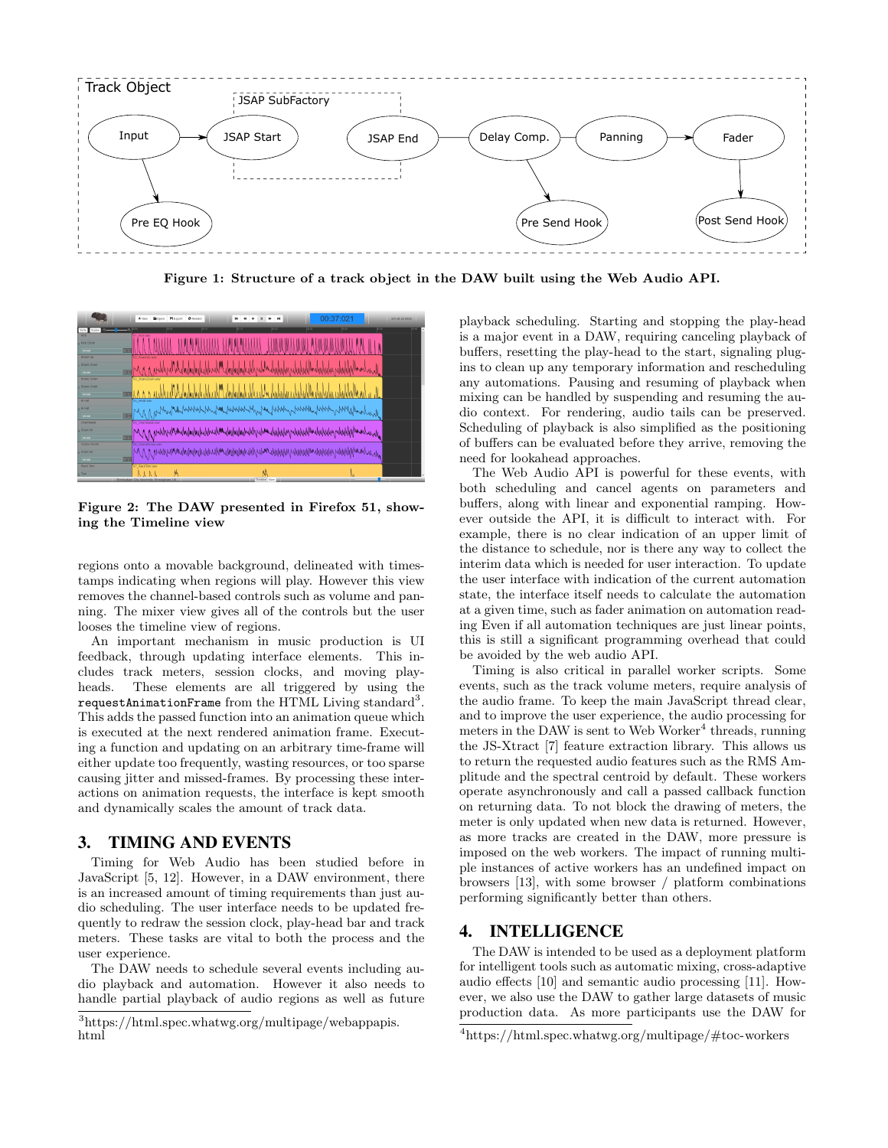

Figure 1: Structure of a track object in the DAW built using the Web Audio API.



Figure 2: The DAW presented in Firefox 51, showing the Timeline view

regions onto a movable background, delineated with timestamps indicating when regions will play. However this view removes the channel-based controls such as volume and panning. The mixer view gives all of the controls but the user looses the timeline view of regions.

An important mechanism in music production is UI feedback, through updating interface elements. This includes track meters, session clocks, and moving playheads. These elements are all triggered by using the requestAnimationFrame from the HTML Living standard<sup>3</sup>. This adds the passed function into an animation queue which is executed at the next rendered animation frame. Executing a function and updating on an arbitrary time-frame will either update too frequently, wasting resources, or too sparse causing jitter and missed-frames. By processing these interactions on animation requests, the interface is kept smooth and dynamically scales the amount of track data.

## 3. TIMING AND EVENTS

Timing for Web Audio has been studied before in JavaScript [5, 12]. However, in a DAW environment, there is an increased amount of timing requirements than just audio scheduling. The user interface needs to be updated frequently to redraw the session clock, play-head bar and track meters. These tasks are vital to both the process and the user experience.

The DAW needs to schedule several events including audio playback and automation. However it also needs to handle partial playback of audio regions as well as future

playback scheduling. Starting and stopping the play-head is a major event in a DAW, requiring canceling playback of buffers, resetting the play-head to the start, signaling plugins to clean up any temporary information and rescheduling any automations. Pausing and resuming of playback when mixing can be handled by suspending and resuming the audio context. For rendering, audio tails can be preserved. Scheduling of playback is also simplified as the positioning of buffers can be evaluated before they arrive, removing the need for lookahead approaches.

The Web Audio API is powerful for these events, with both scheduling and cancel agents on parameters and buffers, along with linear and exponential ramping. However outside the API, it is difficult to interact with. For example, there is no clear indication of an upper limit of the distance to schedule, nor is there any way to collect the interim data which is needed for user interaction. To update the user interface with indication of the current automation state, the interface itself needs to calculate the automation at a given time, such as fader animation on automation reading Even if all automation techniques are just linear points, this is still a significant programming overhead that could be avoided by the web audio API.

Timing is also critical in parallel worker scripts. Some events, such as the track volume meters, require analysis of the audio frame. To keep the main JavaScript thread clear, and to improve the user experience, the audio processing for meters in the DAW is sent to Web Worker<sup>4</sup> threads, running the JS-Xtract [7] feature extraction library. This allows us to return the requested audio features such as the RMS Amplitude and the spectral centroid by default. These workers operate asynchronously and call a passed callback function on returning data. To not block the drawing of meters, the meter is only updated when new data is returned. However, as more tracks are created in the DAW, more pressure is imposed on the web workers. The impact of running multiple instances of active workers has an undefined impact on browsers [13], with some browser / platform combinations performing significantly better than others.

# 4. INTELLIGENCE

The DAW is intended to be used as a deployment platform for intelligent tools such as automatic mixing, cross-adaptive audio effects  $[10]$  and semantic audio processing  $[11]$ . However, we also use the DAW to gather large datasets of music production data. As more participants use the DAW for

<sup>3</sup>https://html.spec.whatwg.org/multipage/webappapis. html

<sup>4</sup>https://html.spec.whatwg.org/multipage/#toc-workers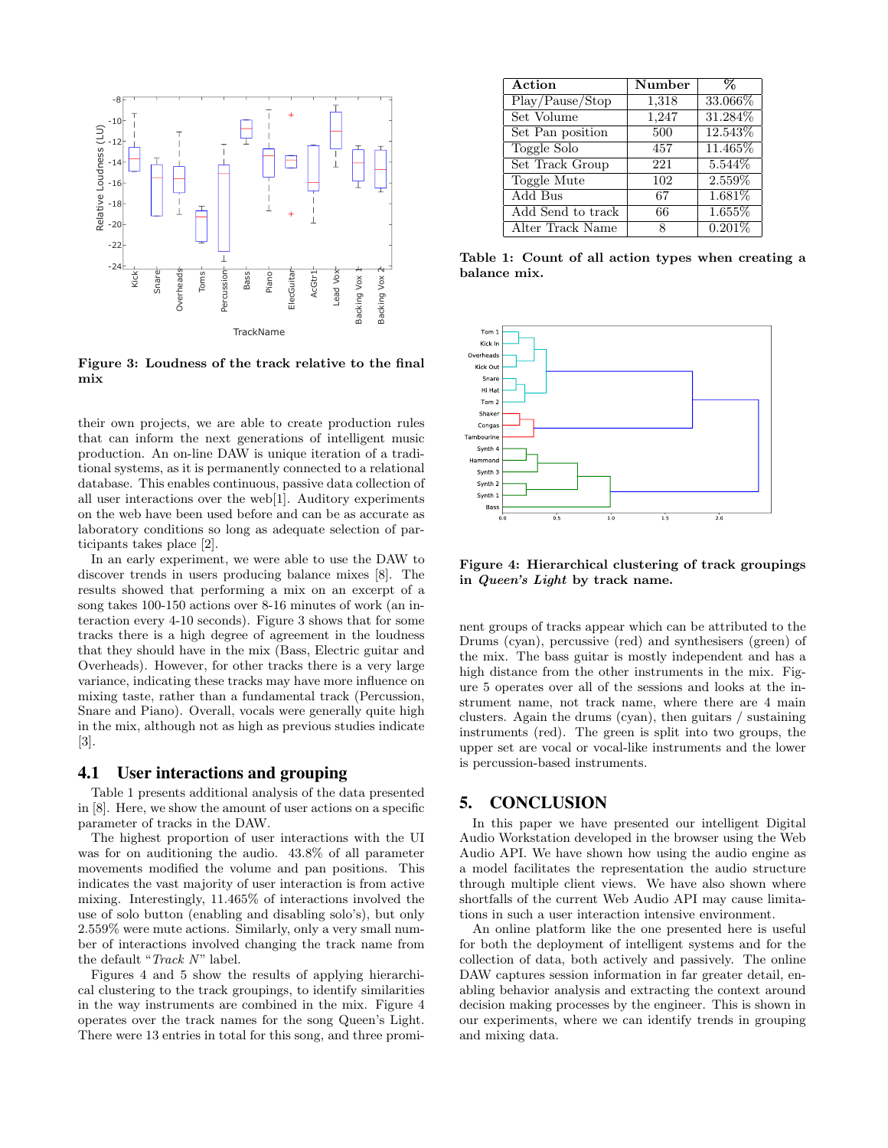

Figure 3: Loudness of the track relative to the final mix

their own projects, we are able to create production rules that can inform the next generations of intelligent music production. An on-line DAW is unique iteration of a traditional systems, as it is permanently connected to a relational database. This enables continuous, passive data collection of all user interactions over the web[1]. Auditory experiments on the web have been used before and can be as accurate as laboratory conditions so long as adequate selection of participants takes place [2].

In an early experiment, we were able to use the DAW to discover trends in users producing balance mixes [8]. The results showed that performing a mix on an excerpt of a song takes 100-150 actions over 8-16 minutes of work (an interaction every 4-10 seconds). Figure 3 shows that for some tracks there is a high degree of agreement in the loudness that they should have in the mix (Bass, Electric guitar and Overheads). However, for other tracks there is a very large variance, indicating these tracks may have more influence on mixing taste, rather than a fundamental track (Percussion, Snare and Piano). Overall, vocals were generally quite high in the mix, although not as high as previous studies indicate [3].

#### 4.1 User interactions and grouping

Table 1 presents additional analysis of the data presented in [8]. Here, we show the amount of user actions on a specific parameter of tracks in the DAW.

The highest proportion of user interactions with the UI was for on auditioning the audio. 43.8% of all parameter movements modified the volume and pan positions. This indicates the vast majority of user interaction is from active mixing. Interestingly, 11.465% of interactions involved the use of solo button (enabling and disabling solo's), but only 2.559% were mute actions. Similarly, only a very small number of interactions involved changing the track name from the default "*Track N*" label.

Figures 4 and 5 show the results of applying hierarchical clustering to the track groupings, to identify similarities in the way instruments are combined in the mix. Figure 4 operates over the track names for the song Queen's Light. There were 13 entries in total for this song, and three promi-

| Action            | Number | ℅         |
|-------------------|--------|-----------|
| Play/Pause/Stop   | 1,318  | 33.066%   |
| Set Volume        | 1,247  | 31.284\%  |
| Set Pan position  | 500    | 12.543%   |
| Toggle Solo       | 457    | 11.465%   |
| Set Track Group   | 221    | $5.544\%$ |
| Toggle Mute       | 102    | 2.559\%   |
| Add Bus           | 67     | 1.681\%   |
| Add Send to track | 66     | 1.655%    |
| Alter Track Name  | 8      | 0.201%    |

Table 1: Count of all action types when creating a balance mix.



Figure 4: Hierarchical clustering of track groupings in *Queen's Light* by track name.

nent groups of tracks appear which can be attributed to the Drums (cyan), percussive (red) and synthesisers (green) of the mix. The bass guitar is mostly independent and has a high distance from the other instruments in the mix. Figure 5 operates over all of the sessions and looks at the instrument name, not track name, where there are 4 main clusters. Again the drums (cyan), then guitars / sustaining instruments (red). The green is split into two groups, the upper set are vocal or vocal-like instruments and the lower is percussion-based instruments.

## 5. CONCLUSION

In this paper we have presented our intelligent Digital Audio Workstation developed in the browser using the Web Audio API. We have shown how using the audio engine as a model facilitates the representation the audio structure through multiple client views. We have also shown where shortfalls of the current Web Audio API may cause limitations in such a user interaction intensive environment.

An online platform like the one presented here is useful for both the deployment of intelligent systems and for the collection of data, both actively and passively. The online DAW captures session information in far greater detail, enabling behavior analysis and extracting the context around decision making processes by the engineer. This is shown in our experiments, where we can identify trends in grouping and mixing data.